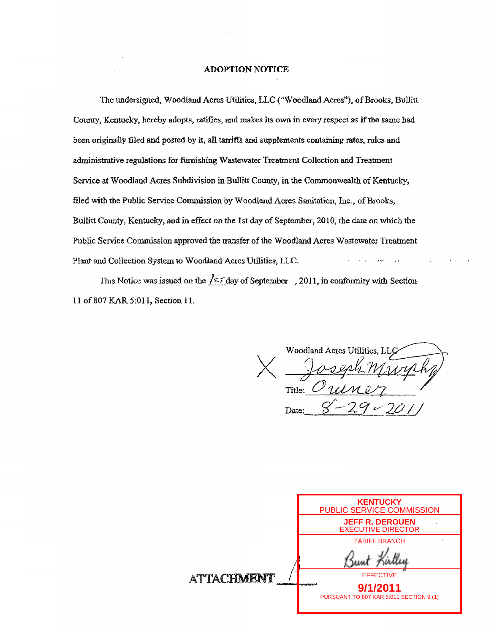### **ADOPTION NOTICE**

**The undersigned, Woodland Acres Utilities,** LLC ("'Woodland **ACES"),** of Brooks, **Bullitt County, Kentucky, hereby adapts,** ratifies, **and** *makes* **its own in every respect as if the same** bad been **originally filed** and **postea by it, all tarriffs and** supplements **containing rates, des and administrative regulations** *for* **fitmjshing Wastewater** Treatment **Collection and** Treatment **Service** at **Woodland Acres Subdivision** in Bullitt **County, in the** Commonwealth of **Kentucky, filed** with the **Public** Service **Commission by WoodIand Acres** Sanitation, **Inc.,** of Brooks, Bullitt County, Kentucky, and in effect on the 1st day of September, 2010, the date on which the Public Service Commission approved the transfer of the Woodland Acres Wastewater Treatment Plant and Collection System to Woodland Acres Utilities, LLC.

This Notice was issued on the  $\sqrt{\epsilon}$  <del>day</del> of September , 2011, in conformity with Section 11 of **807** KAR 5:011, Section **11,** 

Woodland Acres Utilities. L Title: Date:

| PUBLIC SERVICE COMMISSION                                                                                                      |
|--------------------------------------------------------------------------------------------------------------------------------|
| <b>JEFF R. DEROUEN</b><br><b>EXECUTIVE DIRECTOR</b>                                                                            |
| <b>TARIFF BRANCH</b>                                                                                                           |
| <b>EFFECTIVE</b><br><b>Charters Transfer Charters of the Contractor</b><br>9/1/2011<br>PURSUANT TO 807 KAR 5:011 SECTION 9 (1) |
|                                                                                                                                |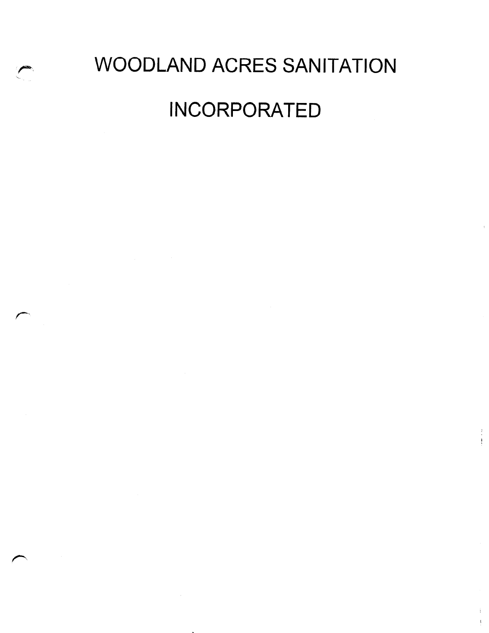# WOODLAND ACRES SANITATION INCORPORATED

 $\begin{array}{c} 1 \\ 1 \\ 1 \end{array}$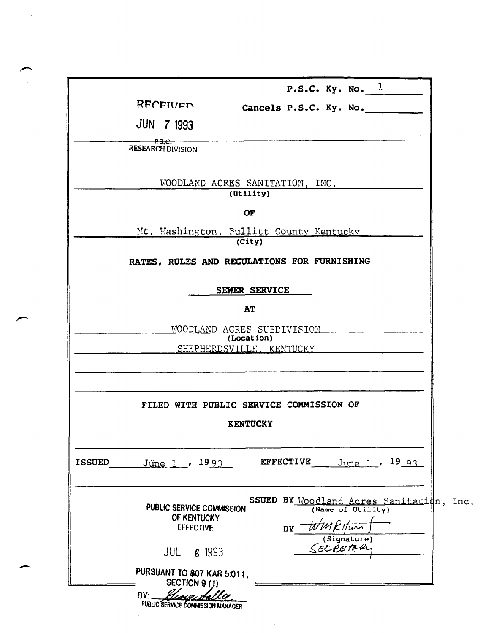|               |                   |                                             |                            |                        | <b>P.S.C.</b> Ky. No. $\frac{1}{2}$ |                       |                                     |     |
|---------------|-------------------|---------------------------------------------|----------------------------|------------------------|-------------------------------------|-----------------------|-------------------------------------|-----|
|               |                   | RFCFIVED                                    |                            |                        | Cancels P.S.C. Ky. No.              |                       |                                     |     |
|               |                   | <b>JUN 7 1993</b>                           |                            |                        |                                     |                       |                                     |     |
|               | <del>-89.C.</del> | <b>RESEARCH DIVISION</b>                    |                            |                        |                                     |                       |                                     |     |
|               |                   | WOODLAND ACRES SANITATION, INC.             |                            |                        |                                     |                       |                                     |     |
|               |                   |                                             |                            | $(\overline{Utility})$ |                                     |                       |                                     |     |
|               |                   |                                             |                            | OF                     |                                     |                       |                                     |     |
|               |                   | Mt. Washington, Bullitt County Kentucky     |                            |                        |                                     |                       |                                     |     |
|               |                   |                                             |                            | (City)                 |                                     |                       |                                     |     |
|               |                   | RATES, RULES AND REGULATIONS FOR FURNISHING |                            |                        |                                     |                       |                                     |     |
|               |                   |                                             |                            | SEWER SERVICE          |                                     |                       |                                     |     |
|               |                   |                                             |                            | <b>AT</b>              |                                     |                       |                                     |     |
|               |                   |                                             | WOODLAND ACRES SUBDIVISION |                        |                                     |                       |                                     |     |
|               |                   |                                             | SHEPHERDSVILLE, KENTUCKY   | (Location)             |                                     |                       |                                     |     |
|               |                   |                                             |                            |                        |                                     |                       |                                     |     |
|               |                   |                                             |                            |                        |                                     |                       |                                     |     |
|               |                   | FILED WITH PUBLIC SERVICE COMMISSION OF     |                            |                        |                                     |                       |                                     |     |
|               |                   |                                             |                            | <b>KENTUCKY</b>        |                                     |                       |                                     |     |
|               |                   |                                             |                            |                        |                                     |                       |                                     |     |
|               |                   |                                             |                            |                        |                                     |                       |                                     |     |
| <b>ISSUED</b> |                   | Jüne 1, $1993$                              |                            |                        | <b>EFFECTIVE</b>                    |                       | June 1, 1993                        |     |
|               |                   |                                             |                            |                        |                                     |                       |                                     |     |
|               |                   | <b>PUBLIC SERVICE COMMISSION</b>            |                            |                        |                                     |                       | SSUED BY Woodland Acres Sanitation, | Inc |
|               |                   | OF KENTUCKY                                 |                            |                        |                                     | (Name of Utility)     |                                     |     |
|               |                   | <b>EFFECTIVE</b>                            |                            |                        | BY                                  | MRITur<br>(Signature) |                                     |     |
|               |                   | JUL                                         | 6 1993                     |                        |                                     | SECRETARY             |                                     |     |
|               |                   | PURSUANT TO 807 KAR 5:011.<br>SECTION 9 (1) |                            |                        |                                     |                       |                                     |     |
|               | <b>BY:</b>        | Usser                                       |                            |                        |                                     |                       |                                     |     |
|               |                   | PUBLIC SERVICE COMMISSION MANAGER           |                            |                        |                                     |                       |                                     |     |

 $\sim 10^{-1}$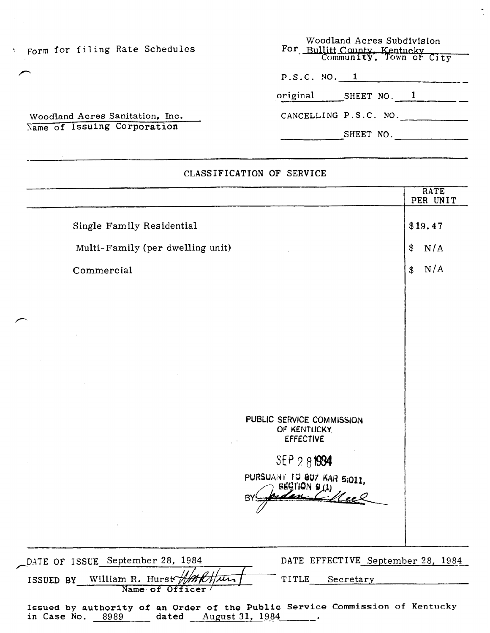? Form for filing Rate Schedules

 $\sim$  .

Woodland Acres Sanitation, Inc. Name of Issuing Corporation

|              | Woodland Acres Subdivision<br>For Bullitt County, Kentucky<br>Community, Town or City |
|--------------|---------------------------------------------------------------------------------------|
|              |                                                                                       |
| P.S.C. NO. 1 |                                                                                       |
|              | original SHEET NO. 1                                                                  |
|              | CANCELLING P.S.C. NO.                                                                 |
|              | SHEET NO.                                                                             |

# CLASSIFICATION OF SERVICE

|                                  | RATE<br>PER UNIT                                                             |
|----------------------------------|------------------------------------------------------------------------------|
| Single Family Residential        | \$19.47                                                                      |
| Multi-Family (per dwelling unit) | \$<br>N/A                                                                    |
| Commercial                       | N/A<br>\$                                                                    |
|                                  |                                                                              |
|                                  |                                                                              |
|                                  |                                                                              |
|                                  |                                                                              |
|                                  |                                                                              |
|                                  |                                                                              |
|                                  | PUBLIC SERVICE COMMISSION<br>OF KENTUCKY                                     |
|                                  | <b>EFFECTIVE</b>                                                             |
|                                  | SEP 281984                                                                   |
|                                  | PURSUANT 10 807 KAR 5:011,<br>BEGTION Q (1)<br><b>BY</b>                     |
|                                  |                                                                              |
|                                  |                                                                              |
| DATE OF ISSUE September 28, 1984 | DATE EFFECTIVE September 28, 1984                                            |
| William R. Hurst<br>ISSUED BY    | TITLE<br>Secretary                                                           |
| Name of Officer                  | Issued by authority of an Order of the Public Service Commission of Kentucky |

essasse by additionally so an erable of the research of the second of the second of the second of the second  $\frac{1}{2}$  and  $\frac{1}{2}$  and  $\frac{1}{2}$  and  $\frac{1}{2}$  and  $\frac{1}{2}$  and  $\frac{1}{2}$  and  $\frac{1}{2}$  and  $\frac{1}{2}$  and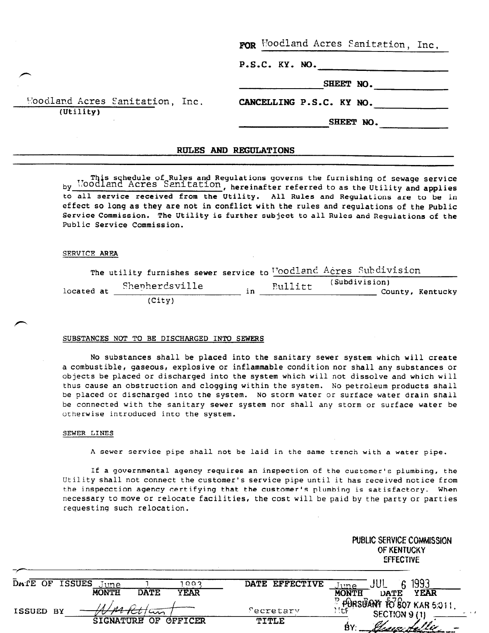|  | FOR Woodland Acres Sanitation, Inc. |  |
|--|-------------------------------------|--|
|  |                                     |  |

P.S.C. KY. No.

CANCELLING P.S.C. KY NO.

SHEET NO.

SHEET No.

Moodland Acres Sanitation, Inc. (Utility)

# RULES AND REGULATIONS

This schedule of Rules and Regulations governs the furnishing of sewage service Moodland Acres Sanitation, hereinafter referred to as the Utility and applitude and to all service received from the Utility. All Rules and Regulations are to be in effect so long as they are not in conflict with the rules and regulations of the Public Service Commission. The Utility is further subject to all Rules and Regulations of the Public Service Commission.

#### SERVICE AREA

|            |                |        |     |                |               | The utility furnishes sewer service to Woodland Acres Subdivision |  |
|------------|----------------|--------|-----|----------------|---------------|-------------------------------------------------------------------|--|
| located at | Shepherdsville |        | i n | <b>Bullitt</b> | (Subdivision) | County, Kentucky                                                  |  |
|            |                | (Citv) |     |                |               |                                                                   |  |

#### SUBSTANCES NOT TO BE DISCHARGED INTO SEWERS

No substances shall be placed into the sanitary sewer system which will create a combustible, gaseous, explosive or inflammable condition nor shall any substances or objects be placed or discharged into the system which will not dissolve and which will thus cause an obstruction and clogging within the system. No petroleum products shall be placed or discharged into the system. No storm water or surface water drain shall be connected with the sanitary sewer system nor shall any storm or surface water be otherwise introduced into the system.

#### SEWER LINES

A sewer service pipe shall not be laid in the same trench with a water pipe.

If a governmental agency requires an inspection of the customer's plumbing, the Utility shall not connect the customer's service pipe until it has received notice from the inspecction agency certifying that the customer's plumbing is satisfactory. When necessary to move or relocate facilities, the cost will be paid by the party or parties requesting such relocation.

|                            | PUBLIC SERVICE COMMISSION<br>OF KENTUCKY<br><b>EFFECTIVE</b>                   |
|----------------------------|--------------------------------------------------------------------------------|
|                            |                                                                                |
| DATE OF                    | 1993                                                                           |
| <b>ISSUES</b>              | <b>EFFECTIVE</b>                                                               |
| । ००२                      | <b>DATE</b>                                                                    |
| <u>June</u>                | une                                                                            |
| <b>YEAR</b>                | <b>YEAR</b>                                                                    |
| <b>DATE</b>                | <b>MONTH</b>                                                                   |
| <b>MONTH</b>               | <b>DATE</b>                                                                    |
| <b>ISSUED</b><br>ВY<br>سمب | PURSUANT FO 807 KAR 5:011.<br>NEF<br><i>c</i> ecretary<br><b>SECTION 9 (1)</b> |
| OFFICER                    | TITLE                                                                          |
| <b>OF</b>                  | BY:                                                                            |
| <b>SIGNATURE</b>           | Genev Helle                                                                    |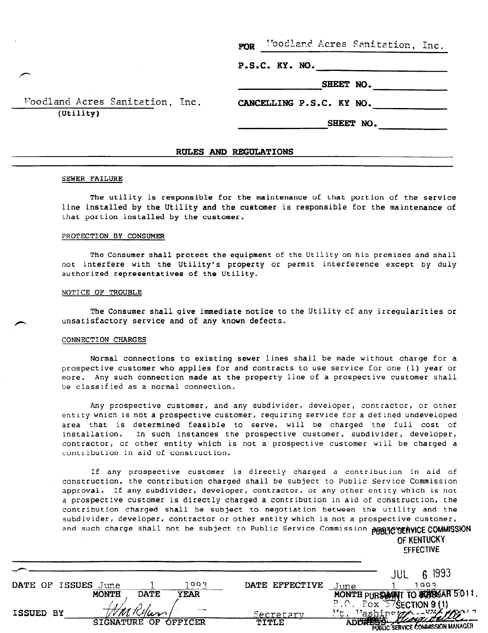FOR Woodland Acres Sanitation, Inc.

P.S.C. KY. NO.

SHEET NO.

CANCELLING P.S.C. KY NO.

Woodland Acres Sanitation, Inc. (Utility)

# SHEET NO.

#### RULES AND REGULATIONS

#### SEWER FAILURE

P

The utility is responsible for the maintenance of that portion of the service line installed by the Utility and the customer is responsible for the maintenance of that portion installed by the customer.

#### PROTECTION BY CONSUMER

The Consumer shall protect the equipment of the Utility on his premises and shall not interfere with the Utility's property or permit interference except by duly authorized representatives of the Utility.

#### NOTICE OF TROUBLE

The Consumer shall give immediate notice to the Utility cf any irregularities or unsatisfactory service and of any known defects.

#### CONNECTION CHARGES

Normal connections to existing sewer lines shall be made without charge for a prospective customer who applies for and contracts to use service for one (1) year or more. Any such connection made at the property line of a prospective customer shall be classified as a normal connection.

Any prospective customer, and any subdivider, developer, contractor, or other entity which is not a prospective customer, requiring service for a defined undeveloped area that is determined feasible to serve, will be charged the full cost of installation. In such instances the prospective customer, subdivider, developer, contractor, or other entity which is not a prospective customer wiil be charged a contribution in aid of construction.

If any prospective customer is directly charged a contribution in aid of construction, the contribution charged shall be subject to Public Service Commission approval. If any subdivider, developer, contractor, or any other entity which is not a prospective customer is directly charged a contribution in aid of construction, the contribution charged shall be subject to negotiation between the utility and the subdivider, developer, contractor or other entity which is not a prospective customer, and such charge shall not be subject to Public Service Commission **@881CSERVICE COMMISSION** 

OF KENTUCKY **EFFECTIVE** 

|               |                     |                  |             |             |              |                |      | JUL                           | 1993                                                   |
|---------------|---------------------|------------------|-------------|-------------|--------------|----------------|------|-------------------------------|--------------------------------------------------------|
|               | DATE OF ISSUES June |                  |             | ⊦oor        |              | DATE EFFECTIVE | June |                               | 00 1                                                   |
|               |                     | <b>MONTH</b>     | <b>DATE</b> | <b>YEAR</b> |              |                |      |                               | MONTH PURSMANT TO BURGSAR 5:011.                       |
|               |                     |                  |             |             |              |                | P.0. | $\text{Pox}$ 37 SECTION 9 (1) |                                                        |
| <b>ISSUED</b> | BY                  |                  |             |             | ≦ecret       |                | Mt.  |                               | Mashington -- WX 18917                                 |
|               |                     | <b>SIGNATURE</b> | OF          | OFFICER     | <b>TITLE</b> |                |      |                               | DRUGGE KUNKUMELLE<br>PUBLIC SERVICE COMMISSION MANAGER |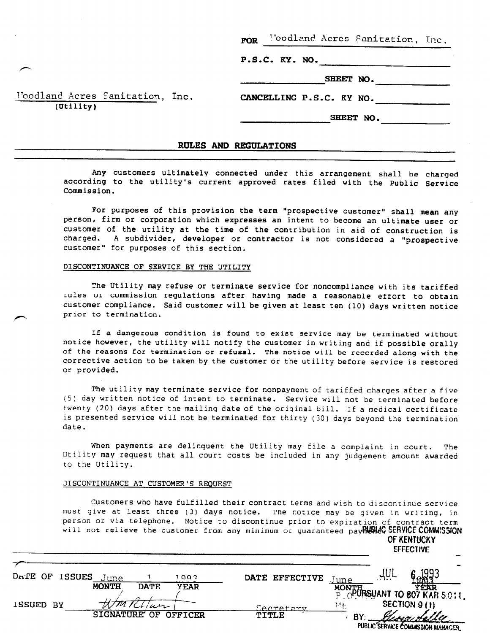FOR Woodland Acres Sanitation, Inc,

P.S.C. KY. NO.

SHEET No.

l'oodland Acres Sanitation, Inc. (Utility)

# CANCELLING P.S.C. KY NO.

SHEET NO.

#### RULES AND REGULATIONS

Any customers ultimately connected under this arrangement shall be charged according to the utility's current approved rates filed with the Public Service Commission.

For purposes of this provision the term "prospective customer" shall mean any person, firm or corporation which expresses an intent to become an ultimate user or customer of the utility at the time of the contribution in aid of construction is charged. A subdivider, developer or contractor is not considered a "prospective customer" for purposes of this section.

#### DISCONTINUANCE OF SERVICE BY THE UTILITY

The Utility may refuse or terminate service for noncompliance with its tariffed rules or commission regulations after having made a reasonable effort to obtain customer compliance. Said customer will be given at least ten (10) days written notice prior to termination.

If a dangerous condition is found to exist service may be terminated without notice however, the utility will notify the customer in writing and if possible orally of the reasons for termination or refusal. The notice will be recorded along with the corrective action to be taken by the customer or the utility before service is restored or provided.

The utility may terminate service for nonpayment of tariffed charges after a five (5) day written notice of intent to terminate. Service will not be terminated before twenty (20) days after the mailing date of the original bill. If a medical certificate is presented service will not be terminated for thirty (30) days beyond the termination date.

When payments are delinquent the Utility may file a complaint in court. The Utility may request that all court costs be included in any judgement amount awarded to the Utility.

#### DISCONTINUANCE AT CUSTOMER'S REQUEST

Customers who have fulfilled their contract terms and wish to discontinue service must give at least three (3) days notice. The notice may be given in writing, in person or via telephone. Notice to discontinue prior to expiration of contract term will not relieve the customer from any minimum or guaranteed pay  $R_{\text{eff}}$  SERVICE COMMISSION OF KENTUCKY EFFECT WE

| DATE OF ISSUES      | June         |             | 1002        |       | DATE EFFECTIVE | June  | بابابي |                                                    |  |
|---------------------|--------------|-------------|-------------|-------|----------------|-------|--------|----------------------------------------------------|--|
|                     | <b>MONTH</b> | <b>DATE</b> | <b>YEAR</b> |       |                | MONTH |        | OPURSUANT TO 807 KAR 5.011.                        |  |
| <b>ISSUED</b><br>BY |              | $\omega$    |             |       | Cecretary      | Мŧ    |        | SECTION 9(1)                                       |  |
|                     | SIGNATURE OF |             | OFFICER     | TITLE |                | BY:   |        | <u>UISLIN</u><br>public service Commission manager |  |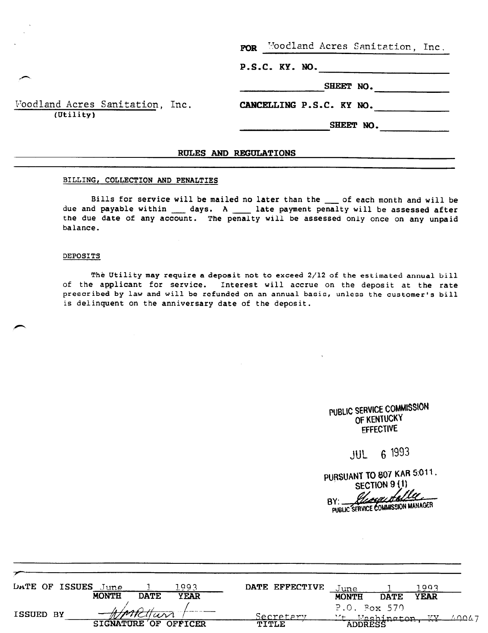FOR Woodland Acres Sanitation, Inc.

P.S.C. KY. No.

SHEET NO.

CANCELLING P.S.C. KY No.

SHEET No.

Foodland Acres Sanitation, Inc. (Utility)

## RULES AND REGULATIONS

#### BILLING, COLLECTION AND PENALTIES

Bills for service will be mailed no later than the \_\_ of each month and will be due and payable within days. A late payment penalty will be assessed after the due date of any account. The penalty will be assessed only once on any unpai balance.

#### DEPOSITS

The Utility may require a deposit not to exceed 2/12 of the estimated annual bill of the applicant for service. Interest will accrue on the deposit at the rate prescribed by law and will be refunded on an annual basis, unless the customer's bill is delinquent on the anniversary date of the deposit.

# PUBLIC SERVICE COMMISSION OF KENTUCKY EFFECTIVE

JUL 6 1993

**PURSUANT TO 807 KAR 5:011.**<br>SECTION 9 (1)

<u>Inceant</u>es  $BY:$ PUBLIC SERVICE COMMISSION MANAGER

r DATE OF ISSUES  $J$ une  $1$ . 1993 DATE EFFECTIVE  $J$ une  $1$ . 1993 MONTH DATE YEAR FILE BUILD MONTH DATE YEAR ISSUED BY  $\ell$ ll and SIGNATURE OF OFFICER Secret TITLE P.O. Fox 570 2,0, FOX 5/7<br>Yt Hechineten TV  $\lambda$ ppersetting the setting  $\Delta \Omega \Delta 7$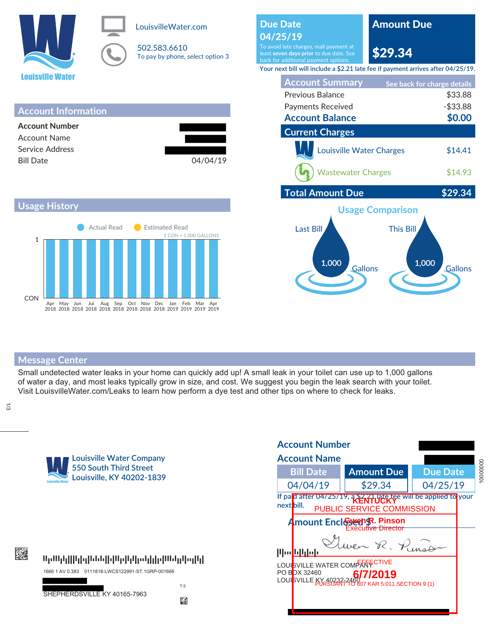

LouisvilleWater.com

502.583.6610 To pay by phone, select option 3







## **Message Center**

Small undetected water leaks in your home can quickly add up! A small leak in your toilet can use up to 1,000 gallons of water a day, and most leaks typically grow in size, and cost. We suggest you begin the leak search with your toilet. Visit LouisvilleWater.com/Leaks to learn how perform a dye test and other tips on where to check for leaks.

1/3